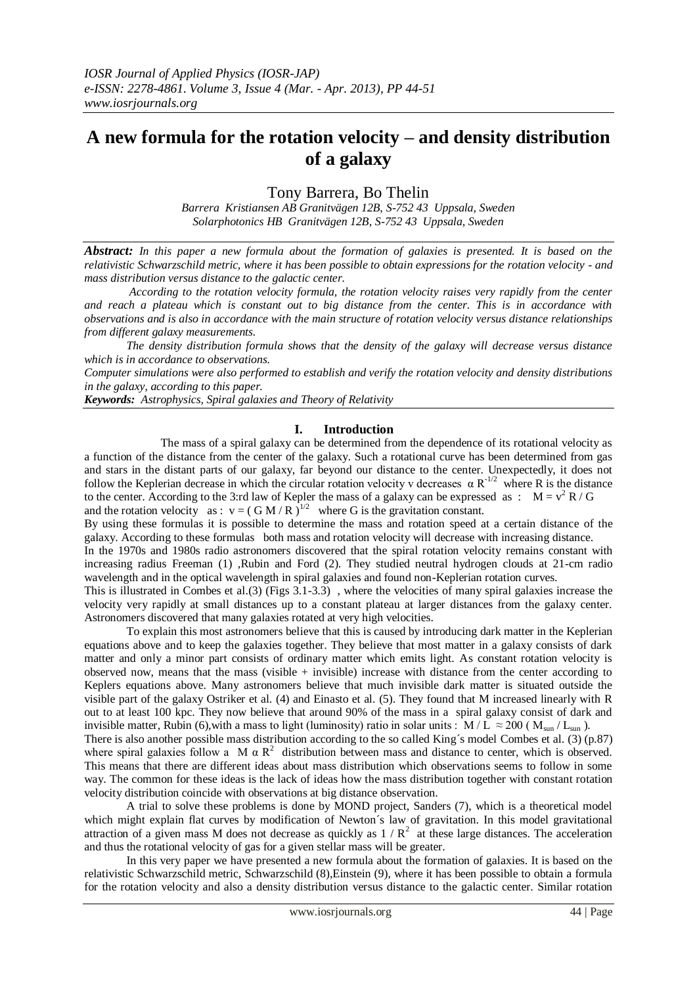# **A new formula for the rotation velocity – and density distribution of a galaxy**

Tony Barrera, Bo Thelin

*Barrera Kristiansen AB Granitvägen 12B, S-752 43 Uppsala, Sweden Solarphotonics HB Granitvägen 12B, S-752 43 Uppsala, Sweden*

*Abstract: In this paper a new formula about the formation of galaxies is presented. It is based on the relativistic Schwarzschild metric, where it has been possible to obtain expressions for the rotation velocity - and mass distribution versus distance to the galactic center.*

*According to the rotation velocity formula, the rotation velocity raises very rapidly from the center and reach a plateau which is constant out to big distance from the center. This is in accordance with observations and is also in accordance with the main structure of rotation velocity versus distance relationships from different galaxy measurements.*

*The density distribution formula shows that the density of the galaxy will decrease versus distance which is in accordance to observations.* 

*Computer simulations were also performed to establish and verify the rotation velocity and density distributions in the galaxy, according to this paper.*

*Keywords: Astrophysics, Spiral galaxies and Theory of Relativity*

# **I. Introduction**

The mass of a spiral galaxy can be determined from the dependence of its rotational velocity as a function of the distance from the center of the galaxy. Such a rotational curve has been determined from gas and stars in the distant parts of our galaxy, far beyond our distance to the center. Unexpectedly, it does not follow the Keplerian decrease in which the circular rotation velocity v decreases  $\alpha R^{-1/2}$  where R is the distance to the center. According to the 3:rd law of Kepler the mass of a galaxy can be expressed as :  $M = v^2 R / G$ and the rotation velocity as :  $v = (GM/R)^{1/2}$  where G is the gravitation constant.

By using these formulas it is possible to determine the mass and rotation speed at a certain distance of the galaxy. According to these formulas both mass and rotation velocity will decrease with increasing distance.

In the 1970s and 1980s radio astronomers discovered that the spiral rotation velocity remains constant with increasing radius Freeman (1) ,Rubin and Ford (2). They studied neutral hydrogen clouds at 21-cm radio wavelength and in the optical wavelength in spiral galaxies and found non-Keplerian rotation curves.

This is illustrated in Combes et al.(3) (Figs 3.1-3.3) , where the velocities of many spiral galaxies increase the velocity very rapidly at small distances up to a constant plateau at larger distances from the galaxy center. Astronomers discovered that many galaxies rotated at very high velocities.

To explain this most astronomers believe that this is caused by introducing dark matter in the Keplerian equations above and to keep the galaxies together. They believe that most matter in a galaxy consists of dark matter and only a minor part consists of ordinary matter which emits light. As constant rotation velocity is observed now, means that the mass (visible  $+$  invisible) increase with distance from the center according to Keplers equations above. Many astronomers believe that much invisible dark matter is situated outside the visible part of the galaxy Ostriker et al. (4) and Einasto et al. (5). They found that M increased linearly with R out to at least 100 kpc. They now believe that around 90% of the mass in a spiral galaxy consist of dark and invisible matter, Rubin (6), with a mass to light (luminosity) ratio in solar units : M / L  $\approx$  200 (Msun / Lsun).

There is also another possible mass distribution according to the so called King´s model Combes et al. (3) (p.87) where spiral galaxies follow a M  $\alpha$  R<sup>2</sup> distribution between mass and distance to center, which is observed. This means that there are different ideas about mass distribution which observations seems to follow in some way. The common for these ideas is the lack of ideas how the mass distribution together with constant rotation velocity distribution coincide with observations at big distance observation.

A trial to solve these problems is done by MOND project, Sanders (7), which is a theoretical model which might explain flat curves by modification of Newton's law of gravitation. In this model gravitational attraction of a given mass M does not decrease as quickly as  $1/R^2$  at these large distances. The acceleration and thus the rotational velocity of gas for a given stellar mass will be greater.

In this very paper we have presented a new formula about the formation of galaxies. It is based on the relativistic Schwarzschild metric, Schwarzschild (8),Einstein (9), where it has been possible to obtain a formula for the rotation velocity and also a density distribution versus distance to the galactic center. Similar rotation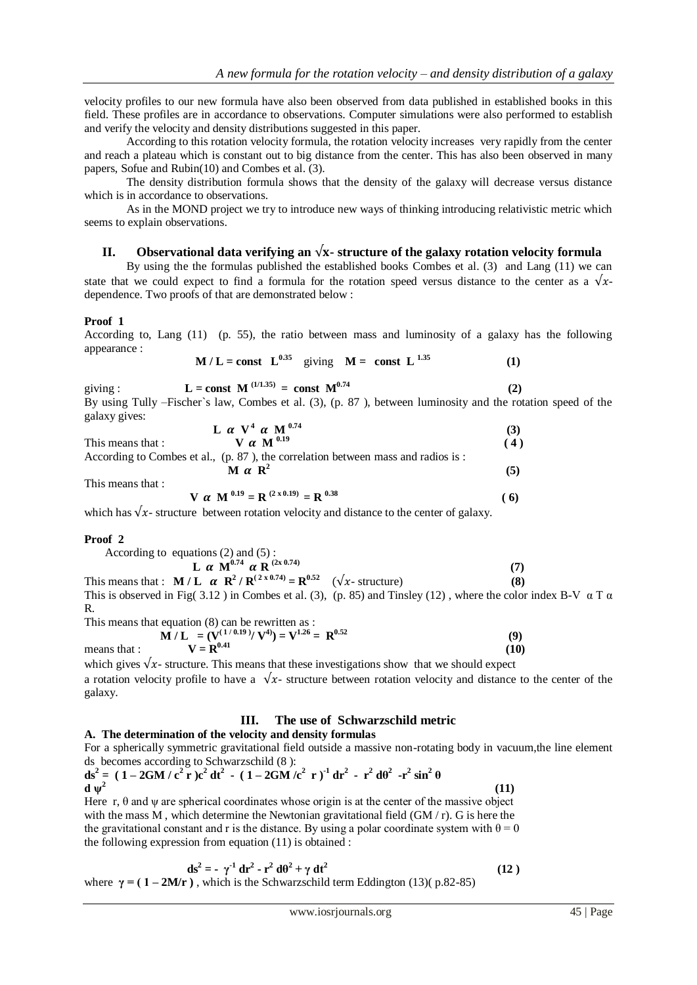velocity profiles to our new formula have also been observed from data published in established books in this field. These profiles are in accordance to observations. Computer simulations were also performed to establish and verify the velocity and density distributions suggested in this paper.

According to this rotation velocity formula, the rotation velocity increases very rapidly from the center and reach a plateau which is constant out to big distance from the center. This has also been observed in many papers, Sofue and Rubin(10) and Combes et al. (3).

The density distribution formula shows that the density of the galaxy will decrease versus distance which is in accordance to observations.

As in the MOND project we try to introduce new ways of thinking introducing relativistic metric which seems to explain observations.

# **II.** Observational data verifying an  $\sqrt{x}$ - structure of the galaxy rotation velocity formula

By using the the formulas published the established books Combes et al. (3) and Lang (11) we can state that we could expect to find a formula for the rotation speed versus distance to the center as a  $\sqrt{x}$ dependence. Two proofs of that are demonstrated below :

# **Proof 1**

According to, Lang (11) (p. 55), the ratio between mass and luminosity of a galaxy has the following appearance :

$$
M/L = const L^{0.35} \quad \text{giving} \quad M = \text{const} \ L^{1.35} \tag{1}
$$

giving :  $L = \text{const} \ M^{(1/1.35)} = \text{const} \ M^{0.74}$  $(2)$ By using Tully –Fischer`s law, Combes et al. (3), (p. 87 ), between luminosity and the rotation speed of the galaxy gives:

|                   | L $\alpha$ V <sup>4</sup> $\alpha$ M <sup>0.74</sup> |     |
|-------------------|------------------------------------------------------|-----|
| This means that : | V $\alpha$ M $^{0.19}$                               | (4) |
|                   | $ -$                                                 |     |

According to Combes et al., (p. 87 ), the correlation between mass and radios is : **M**  $\alpha$  **R**<sup>2</sup>  **(5)**

This means that :

$$
V \ \alpha \ M^{0.19} = R^{(2 \times 0.19)} = R^{0.38}
$$
 (6)

which has  $\sqrt{x}$ - structure between rotation velocity and distance to the center of galaxy.

# **Proof 2**

 $This$ 

| According to equations $(2)$ and $(5)$ :                                                                                                    |      |            |
|---------------------------------------------------------------------------------------------------------------------------------------------|------|------------|
| L $\alpha$ M <sup>0.74</sup> $\alpha$ R <sup>(2x0.74)</sup>                                                                                 |      |            |
| This means that : $\mathbf{M}/\mathbf{L} \propto \mathbf{R}^2 / \mathbf{R}^{(2 \times 0.74)} = \mathbf{R}^{0.52}$ ( $\sqrt{x}$ - structure) |      | <b>(8)</b> |
|                                                                                                                                             | (10) |            |

This is observed in Fig( 3.12) in Combes et al. (3), (p. 85) and Tinsley (12), where the color index B-V  $\alpha$  T  $\alpha$ R.

This means that equation (8) can be rewritten as :  
\n**M** / **L** = (
$$
\mathbf{V}^{(1/0.19)}/\mathbf{V}^{4}
$$
) =  $\mathbf{V}^{1.26}$  =  $\mathbf{R}^{0.52}$  (9)  
\nmeans that :  $\mathbf{V} = \mathbf{R}^{0.41}$  (10)

which gives  $\sqrt{x}$ - structure. This means that these investigations show that we should expect

a rotation velocity profile to have a  $\sqrt{x}$ - structure between rotation velocity and distance to the center of the galaxy.

# **III. The use of Schwarzschild metric**

#### **A. The determination of the velocity and density formulas** For a spherically symmetric gravitational field outside a massive non-rotating body in vacuum,the line element ds becomes according to Schwarzschild (8 ):

 $ds^{2} = (1 - 2GM/c^{2} r)c^{2} dt^{2} - (1 - 2GM/c^{2} r)^{1} dr^{2} - r^{2} d\theta^{2} - r^{2} sin^{2} \theta$ **d ψ<sup>2</sup> (11)** 

Here r,  $\theta$  and  $\psi$  are spherical coordinates whose origin is at the center of the massive object with the mass M, which determine the Newtonian gravitational field  $(GM/r)$ . G is here the the gravitational constant and r is the distance. By using a polar coordinate system with  $\theta = 0$ the following expression from equation (11) is obtained :

$$
ds^{2} = -\gamma^{1} dr^{2} - r^{2} d\theta^{2} + \gamma dt^{2}
$$
 (12)  
where  $\gamma = (1 - 2M/r)$ , which is the Schwarzschild term Eddington (13)( p.82-85)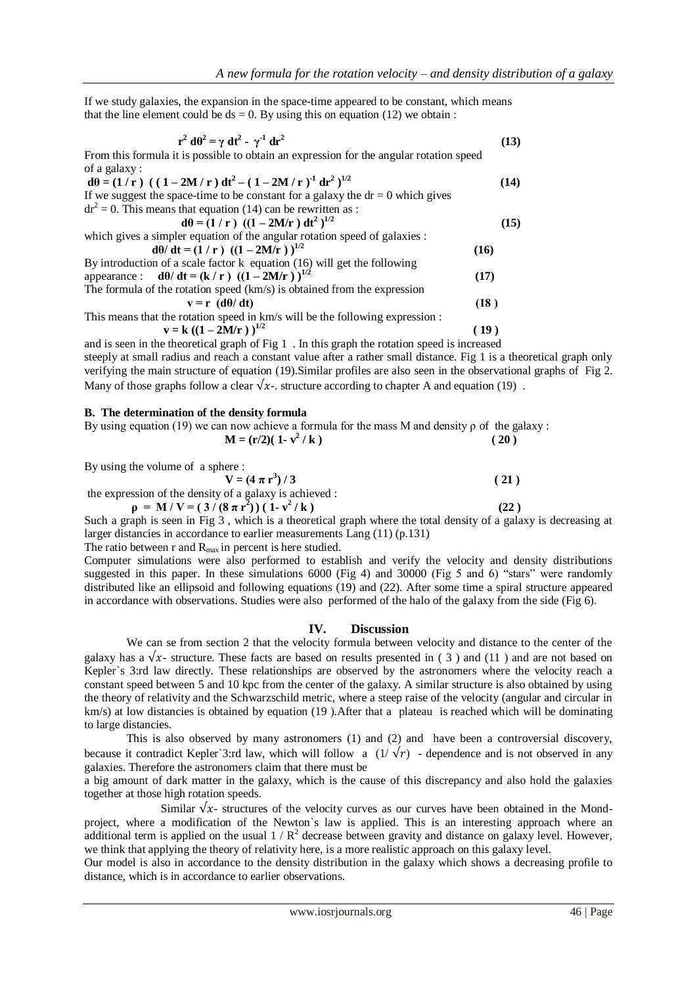If we study galaxies, the expansion in the space-time appeared to be constant, which means that the line element could be  $ds = 0$ . By using this on equation (12) we obtain :

$$
\mathbf{r}^2 \, \mathbf{d}\theta^2 = \gamma \, \mathbf{d}\mathbf{t}^2
$$
 (13)  
From this formula it is possible to obtain an expression for the angular rotation speed  
of a galaxy :  

$$
\mathbf{d}\theta = (1/r) \left( (1 - 2M/r) \, \mathbf{d}\mathbf{t}^2 - (1 - 2M/r)^{-1} \, \mathbf{d}\mathbf{r}^2 \right)^{1/2}
$$
 (14)  
If we suggest the space-time to be constant for a galaxy the dr = 0 which gives  

$$
\mathrm{d}\mathbf{r}^2 = 0.
$$
 This means that equation (14) can be rewritten as :  

$$
\mathbf{d}\theta = (1/r) \left( (1 - 2M/r) \, \mathbf{d}\mathbf{t}^2 \right)^{1/2}
$$
 (15)  
which gives a simpler equation of the angular rotation speed of galaxies :  

$$
\mathbf{d}\theta / \mathbf{d}\mathbf{t} = (1/r) \left( (1 - 2M/r) \right)^{1/2}
$$
 (16)  
By introduction of a scale factor k equation (16) will get the following  
appearance : 
$$
\mathbf{d}\theta / \mathbf{d}\mathbf{t} = (\mathbf{k}/r) \left( (1 - 2M/r) \right)^{1/2}
$$
 (17)  
The formula of the rotation speed (km/s) is obtained from the expression  

$$
\mathbf{v} = \mathbf{r} \left( \mathbf{d}\theta / \mathbf{d}\mathbf{t} \right)
$$
 (18)  
This means that the rotation speed in km/s will be the following expression :  

$$
\mathbf{v} = \mathbf{k} \left( (1 - 2M/r) \right)^{1/2}
$$
 (19)

and is seen in the theoretical graph of Fig 1 . In this graph the rotation speed is increased steeply at small radius and reach a constant value after a rather small distance. Fig 1 is a theoretical graph only verifying the main structure of equation (19).Similar profiles are also seen in the observational graphs of Fig 2. Many of those graphs follow a clear  $\sqrt{x}$ -. structure according to chapter A and equation (19).

# **B. The determination of the density formula**

|  |  | By using equation (19) we can now achieve a formula for the mass M and density $\rho$ of the galaxy: |      |
|--|--|------------------------------------------------------------------------------------------------------|------|
|  |  | $M = (r/2)(1 - v^2/k)$                                                                               | (20) |
|  |  |                                                                                                      |      |

By using the volume of a sphere :

$$
V = (4 \pi r^{3}) / 3
$$
 (21)  
the expression of the density of a galaxy is achieved :  

$$
\rho = M / V = (3 / (8 \pi r^{2})) (1 - v^{2} / k)
$$
 (22)  
Such a graph is seen in Fig. 3, which is a theoretical graph where the total density of a scale

Such a graph is seen in Fig 3 , which is a theoretical graph where the total density of a galaxy is decreasing at larger distancies in accordance to earlier measurements Lang (11) (p.131)

The ratio between r and  $R_{\text{max}}$  in percent is here studied.

Computer simulations were also performed to establish and verify the velocity and density distributions suggested in this paper. In these simulations 6000 (Fig 4) and 30000 (Fig 5 and 6) "stars" were randomly distributed like an ellipsoid and following equations (19) and (22). After some time a spiral structure appeared in accordance with observations. Studies were also performed of the halo of the galaxy from the side (Fig 6).

#### **IV. Discussion**

We can se from section 2 that the velocity formula between velocity and distance to the center of the galaxy has a  $\sqrt{x}$ - structure. These facts are based on results presented in (3) and (11) and are not based on Kepler's 3:rd law directly. These relationships are observed by the astronomers where the velocity reach a constant speed between 5 and 10 kpc from the center of the galaxy. A similar structure is also obtained by using the theory of relativity and the Schwarzschild metric, where a steep raise of the velocity (angular and circular in km/s) at low distancies is obtained by equation (19 ).After that a plateau is reached which will be dominating to large distancies.

This is also observed by many astronomers (1) and (2) and have been a controversial discovery, because it contradict Kepler`3:rd law, which will follow a  $(1/\sqrt{r})$  - dependence and is not observed in any galaxies. Therefore the astronomers claim that there must be

a big amount of dark matter in the galaxy, which is the cause of this discrepancy and also hold the galaxies together at those high rotation speeds.

Similar  $\sqrt{x}$ - structures of the velocity curves as our curves have been obtained in the Mondproject, where a modification of the Newton`s law is applied. This is an interesting approach where an additional term is applied on the usual  $1/R^2$  decrease between gravity and distance on galaxy level. However, we think that applying the theory of relativity here, is a more realistic approach on this galaxy level.

Our model is also in accordance to the density distribution in the galaxy which shows a decreasing profile to distance, which is in accordance to earlier observations.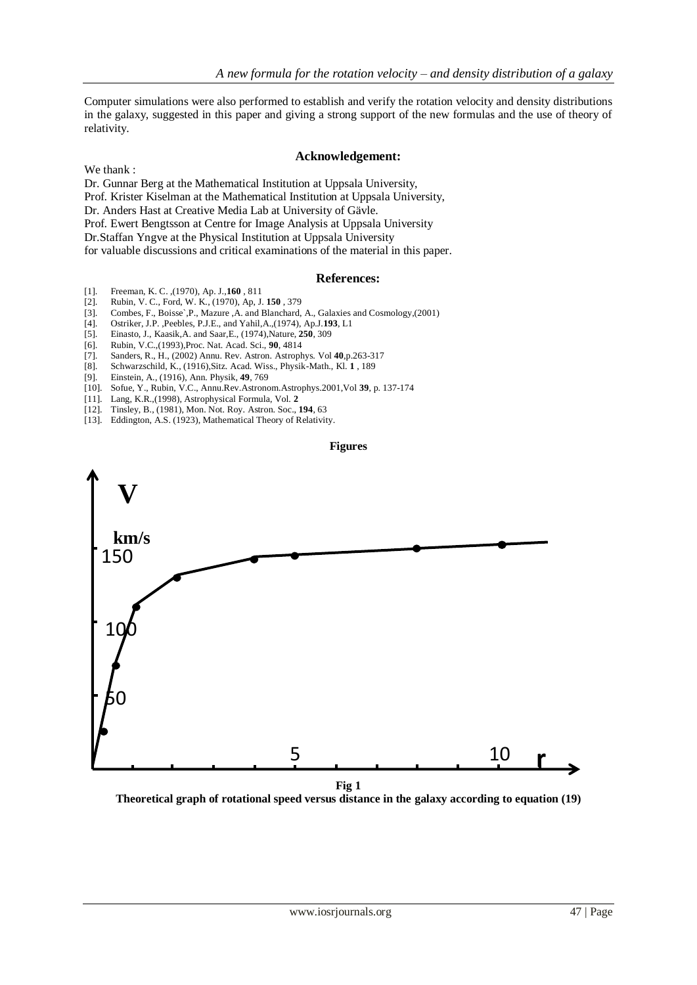Computer simulations were also performed to establish and verify the rotation velocity and density distributions in the galaxy, suggested in this paper and giving a strong support of the new formulas and the use of theory of relativity.

# **Acknowledgement:**

We thank :

Dr. Gunnar Berg at the Mathematical Institution at Uppsala University, Prof. Krister Kiselman at the Mathematical Institution at Uppsala University, Dr. Anders Hast at Creative Media Lab at University of Gävle. Prof. Ewert Bengtsson at Centre for Image Analysis at Uppsala University Dr.Staffan Yngve at the Physical Institution at Uppsala University for valuable discussions and critical examinations of the material in this paper.

# **References:**

- [1]. Freeman, K. C. ,(1970), Ap. J.,**160** , 811
- [2]. Rubin, V. C., Ford, W. K., (1970), Ap, J. **150** , 379
- [3]. Combes, F., Boisse`,P., Mazure ,A. and Blanchard, A., Galaxies and Cosmology,(2001)
- [4]. Ostriker, J.P. ,Peebles, P.J.E., and Yahil,A.,(1974), Ap.J.**193**, L1
- [5]. Einasto, J., Kaasik,A. and Saar,E., (1974),Nature, **250**, 309
- 
- [6]. Rubin, V.C.,(1993),Proc. Nat. Acad. Sci., **90**, 4814 [7]. Sanders, R., H., (2002) Annu. Rev. Astron. Astrophys. Vol **40**,p.263-317
- [8]. Schwarzschild, K., (1916),Sitz. Acad. Wiss., Physik-Math., Kl. **1** , 189
- [9]. Einstein, A., (1916), Ann. Physik, **49**, 769
- [10]. Sofue, Y., Rubin, V.C., Annu.Rev.Astronom.Astrophys.2001,Vol **39**, p. 137-174
- [11]. Lang, K.R.,(1998), Astrophysical Formula, Vol. **2**
- [12]. Tinsley, B., (1981), Mon. Not. Roy. Astron. Soc., **194**, 63
- [13]. Eddington, A.S. (1923), Mathematical Theory of Relativity.





**Fig 1**

**Theoretical graph of rotational speed versus distance in the galaxy according to equation (19)**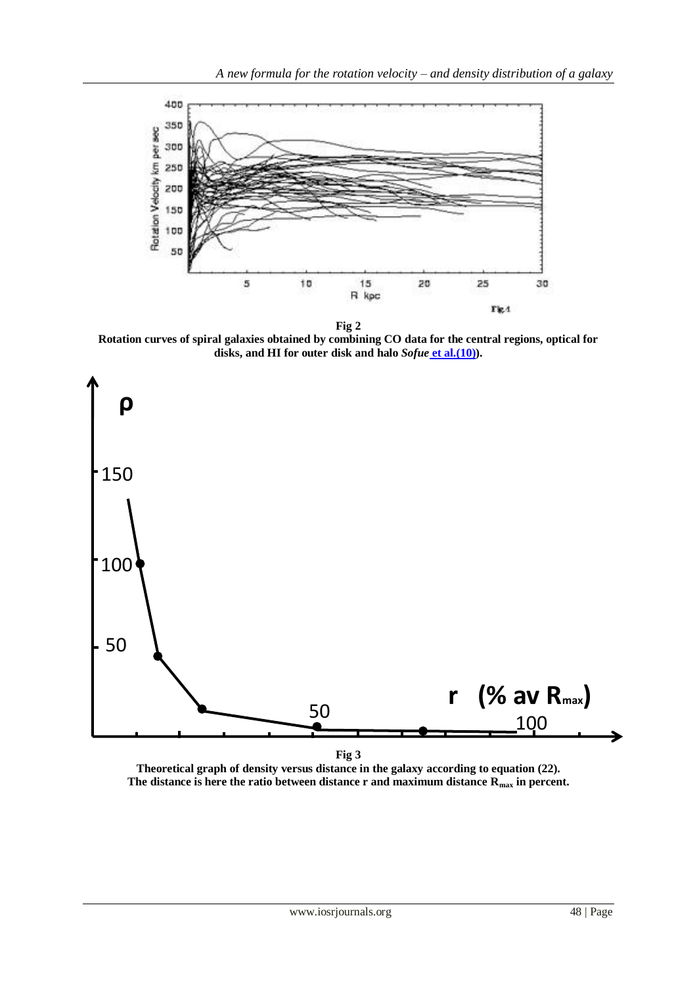

**Fig 2**

**Rotation curves of spiral galaxies obtained by combining CO data for the central regions, optical for disks, and HI for outer disk and halo** *Sofue* **et al.(10)).**



**Theoretical graph of density versus distance in the galaxy according to equation (22). The distance is here the ratio between distance r and maximum distance Rmax in percent.**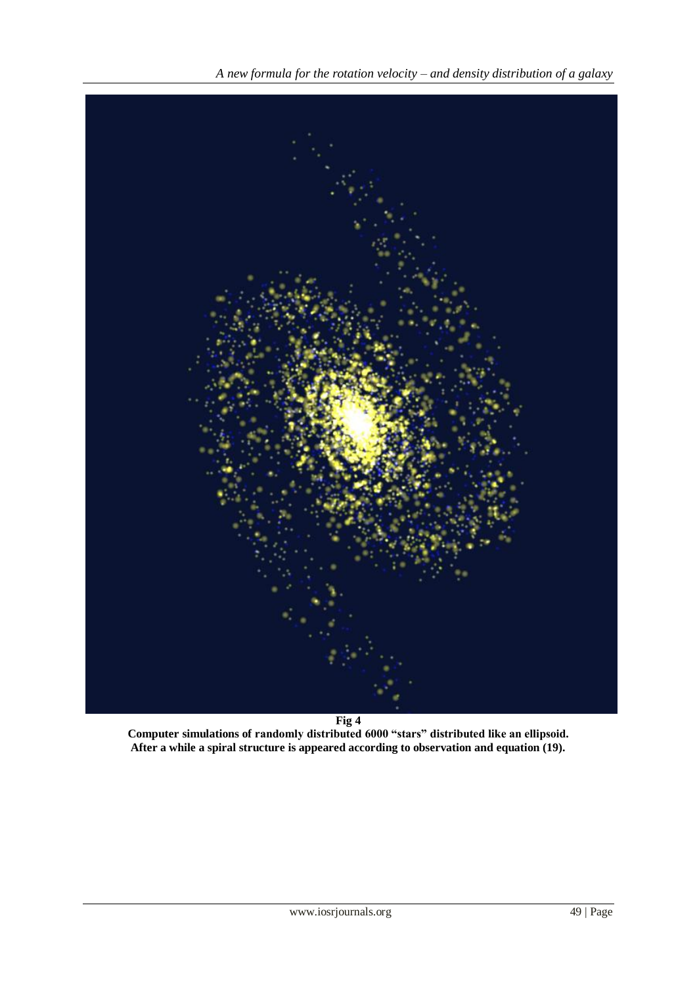

**Computer simulations of randomly distributed 6000 "stars" distributed like an ellipsoid. After a while a spiral structure is appeared according to observation and equation (19).**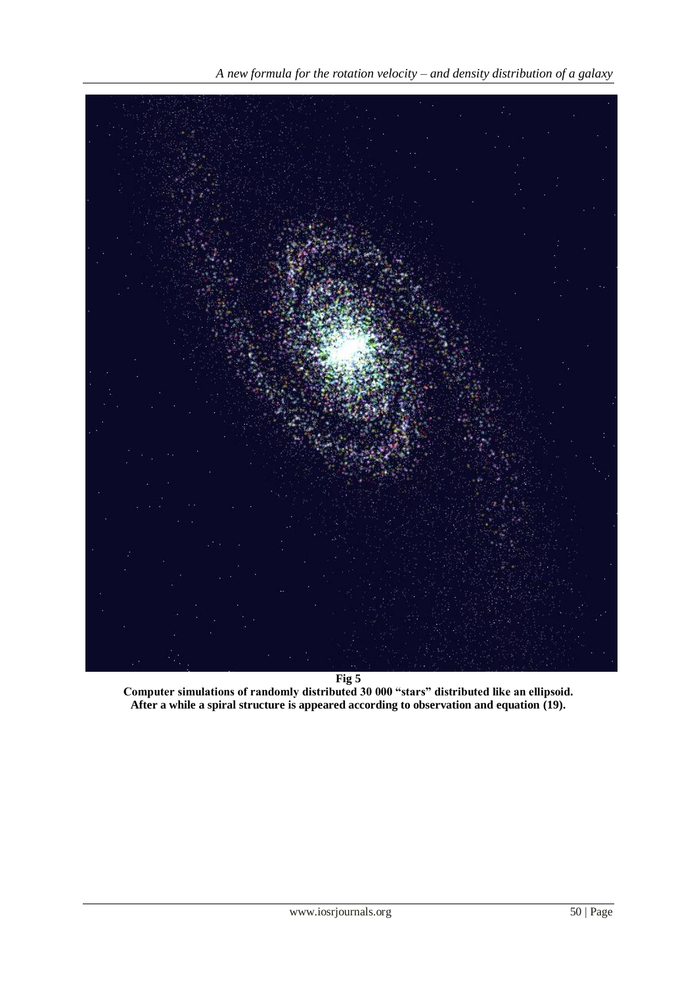

**Fig 5**

**Computer simulations of randomly distributed 30 000 "stars" distributed like an ellipsoid. After a while a spiral structure is appeared according to observation and equation (19).**